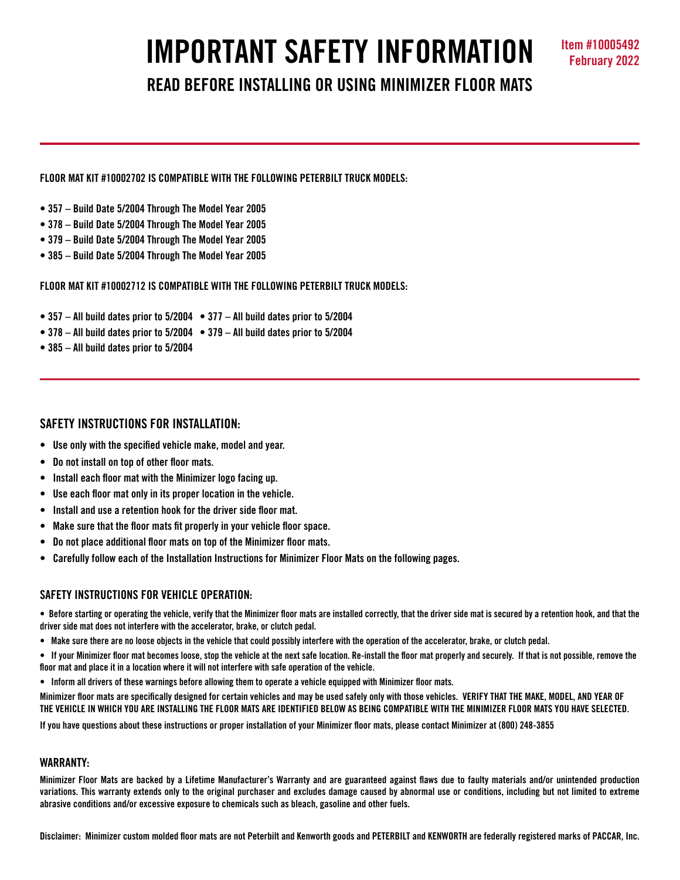# **IMPORTANT SAFETY INFORMATION Item #10005492**

## **READ BEFORE INSTALLING OR USING MINIMIZER FLOOR MATS**

**FLOOR MAT KIT #10002702 IS COMPATIBLE WITH THE FOLLOWING PETERBILT TRUCK MODELS:**

- **357 Build Date 5/2004 Through The Model Year 2005**
- **378 Build Date 5/2004 Through The Model Year 2005**
- **379 Build Date 5/2004 Through The Model Year 2005**
- **385 Build Date 5/2004 Through The Model Year 2005**

**FLOOR MAT KIT #10002712 IS COMPATIBLE WITH THE FOLLOWING PETERBILT TRUCK MODELS:**

- **357 All build dates prior to 5/2004 377 All build dates prior to 5/2004**
- **378 All build dates prior to 5/2004 379 All build dates prior to 5/2004**
- **385 All build dates prior to 5/2004**

#### **SAFETY INSTRUCTIONS FOR INSTALLATION:**

- **Use only with the specified vehicle make, model and year.**
- **Do not install on top of other floor mats.**
- **Install each floor mat with the Minimizer logo facing up.**
- **Use each floor mat only in its proper location in the vehicle.**
- **Install and use a retention hook for the driver side floor mat.**
- **Make sure that the floor mats fit properly in your vehicle floor space.**
- **Do not place additional floor mats on top of the Minimizer floor mats.**
- **Carefully follow each of the Installation Instructions for Minimizer Floor Mats on the following pages.**

#### **SAFFTY INSTRUCTIONS FOR VEHICLE OPERATION:**

**• Before starting or operating the vehicle, verify that the Minimizer floor mats are installed correctly, that the driver side mat is secured by a retention hook, and that the driver side mat does not interfere with the accelerator, brake, or clutch pedal.**

**• Make sure there are no loose objects in the vehicle that could possibly interfere with the operation of the accelerator, brake, or clutch pedal.**

**• If your Minimizer floor mat becomes loose, stop the vehicle at the next safe location. Re-install the floor mat properly and securely. If that is not possible, remove the floor mat and place it in a location where it will not interfere with safe operation of the vehicle.**

**• Inform all drivers of these warnings before allowing them to operate a vehicle equipped with Minimizer floor mats.**

**Minimizer floor mats are specifically designed for certain vehicles and may be used safely only with those vehicles. VERIFY THAT THE MAKE, MODEL, AND YEAR OF THE VEHICLE IN WHICH YOU ARE INSTALLING THE FLOOR MATS ARE IDENTIFIED BELOW AS BEING COMPATIBLE WITH THE MINIMIZER FLOOR MATS YOU HAVE SELECTED.** 

**If you have questions about these instructions or proper installation of your Minimizer floor mats, please contact Minimizer at (800) 248-3855**

#### **WARRANTY:**

**Minimizer Floor Mats are backed by a Lifetime Manufacturer's Warranty and are guaranteed against flaws due to faulty materials and/or unintended production variations. This warranty extends only to the original purchaser and excludes damage caused by abnormal use or conditions, including but not limited to extreme abrasive conditions and/or excessive exposure to chemicals such as bleach, gasoline and other fuels.**

**Disclaimer: Minimizer custom molded floor mats are not Peterbilt and Kenworth goods and PETERBILT and KENWORTH are federally registered marks of PACCAR, Inc.**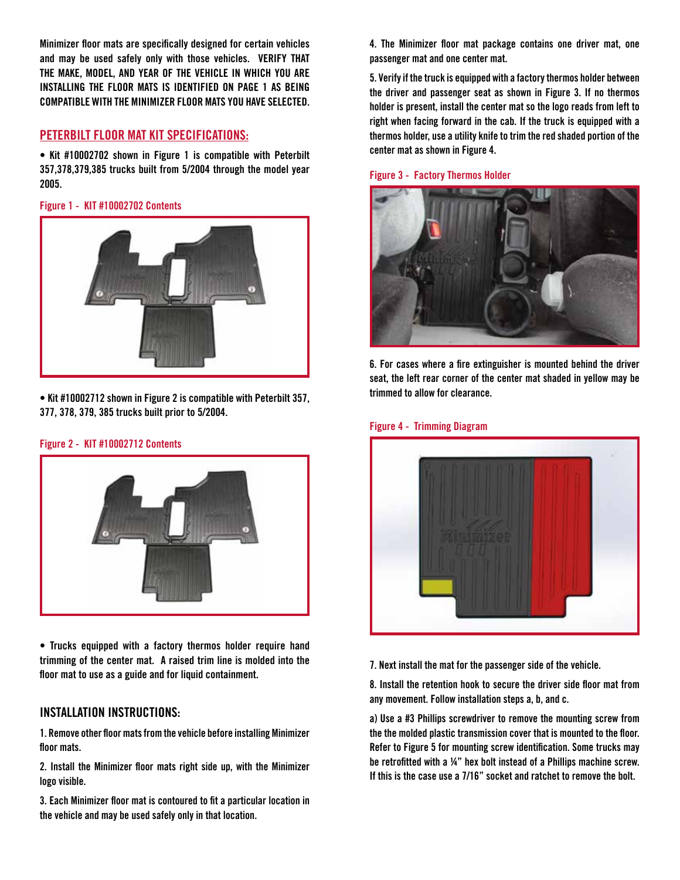**Minimizer floor mats are specifically designed for certain vehicles and may be used safely only with those vehicles. VERIFY THAT THE MAKE, MODEL, AND YEAR OF THE VEHICLE IN WHICH YOU ARE INSTALLING THE FLOOR MATS IS IDENTIFIED ON PAGE 1 AS BEING COMPATIBLE WITH THE MINIMIZER FLOOR MATS YOU HAVE SELECTED.** 

### **PETERBILT FLOOR MAT KIT SPECIFICATIONS:**

**• Kit #10002702 shown in Figure 1 is compatible with Peterbilt 357,378,379,385 trucks built from 5/2004 through the model year 2005.** 

**Figure 1 - KIT #10002702 Contents**



**• Kit #10002712 shown in Figure 2 is compatible with Peterbilt 357, 377, 378, 379, 385 trucks built prior to 5/2004.**

#### **Figure 2 - KIT #10002712 Contents**



**• Trucks equipped with a factory thermos holder require hand trimming of the center mat. A raised trim line is molded into the floor mat to use as a guide and for liquid containment.**

#### **INSTALLATION INSTRUCTIONS:**

**1. Remove other floor mats from the vehicle before installing Minimizer floor mats.**

**2. Install the Minimizer floor mats right side up, with the Minimizer logo visible.**

**3. Each Minimizer floor mat is contoured to fit a particular location in the vehicle and may be used safely only in that location.**

**4. The Minimizer floor mat package contains one driver mat, one passenger mat and one center mat.**

**5. Verify if the truck is equipped with a factory thermos holder between the driver and passenger seat as shown in Figure 3. If no thermos holder is present, install the center mat so the logo reads from left to right when facing forward in the cab. If the truck is equipped with a thermos holder, use a utility knife to trim the red shaded portion of the center mat as shown in Figure 4.**

#### **Figure 3 - Factory Thermos Holder**



**6. For cases where a fire extinguisher is mounted behind the driver seat, the left rear corner of the center mat shaded in yellow may be trimmed to allow for clearance.**



**Figure 4 - Trimming Diagram**

**7. Next install the mat for the passenger side of the vehicle.**

**8. Install the retention hook to secure the driver side floor mat from any movement. Follow installation steps a, b, and c.**

**a) Use a #3 Phillips screwdriver to remove the mounting screw from the the molded plastic transmission cover that is mounted to the floor. Refer to Figure 5 for mounting screw identification. Some trucks may be retrofitted with a ¼" hex bolt instead of a Phillips machine screw. If this is the case use a 7/16" socket and ratchet to remove the bolt.**